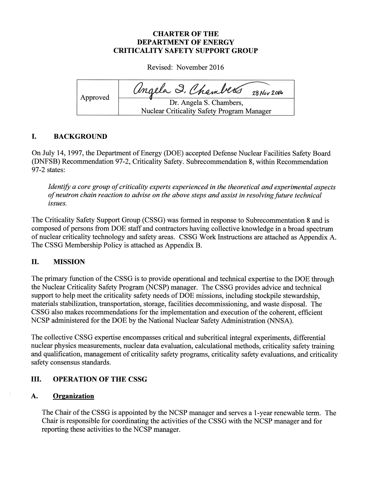# CHARTER OF THE DEPARTMENT OF ENERGY CRITICALITY SAFETY SUPPORT GROUP

Revised: November 2016

| Approved | angela I. Chambers<br>$28$ Nov 2016                                   |
|----------|-----------------------------------------------------------------------|
|          | Dr. Angela S. Chambers,<br>Nuclear Criticality Safety Program Manager |
|          |                                                                       |

# I. BACKGROUND

On July 14, 1997, the Department of Energy (DOE) accepted Defense Nuclear Facilities Safety Board (DNFSB) Recommendation 97-2, Criticality Safety. Subrecommendation 8, within Recommendation 97-2 states:

Identify a core group of criticality experts experienced in the theoretical and experimental aspects of neutron chain reaction to advise on the above steps and assist in resolving future technical issues.

The Criticality Safety Support Group (CSSG) was formed in response to Subrecommentation <sup>8</sup> and is composed of persons from DOE staff and contractors having collective knowledge in a broad spectrum of nuclear criticality technology and safety areas. CSSG Work Instructions are attached as Appendix A. The CSSG Membership Policy is attached as Appendix B.

# II. MISSION

The primary function of the CSSG is to provide operational and technical expertise to the DOE through the Nuclear Criticality Safety Program (NCSP) manager. The CSSG provides advice and technical support to help meet the criticality safety needs of DOE missions, including stockpile stewardship, materials stabilization, transportation, storage, facilities decommissioning, and waste disposal. The CSSG also makes recommendations for the implementation and execution of the coherent, efficient NCSP administered for the DOE by the National Nuclear Safety Administration (NNSA).

The collective CSSG expertise encompasses critical and subcritical integral experiments, differential nuclear physics measurements, nuclear data evaluation, calculational methods, criticality safety training and qualification, management of criticality safety programs, criticality safety evaluations, and criticality safety consensus standards.

# III. OPERATION OF THE CSSG

# A. Organization

The Chair of the CSSG is appointed by the NCSP manager and serves a 1-year renewable term. The Chair is responsible for coordinating the activities of the CSSG with the NCSP manager and for reporting these activities to the NCSP manager.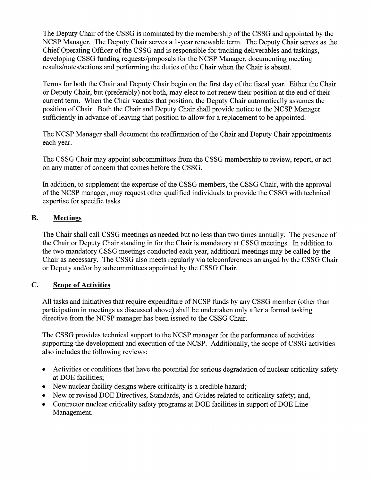The Deputy Chair of the CSSG is nominated by the membership of the CSSG and appointed by the NCSP Manager. The Deputy Chair serves a <sup>1</sup> -year renewable term. The Deputy Chair serves as the Chief Operating Officer of the CSSG and is responsible for tracking deliverables and taskings, developing CSSG funding requests/proposals for the NCSP Manager, documenting meeting results/notes/actions and performing the duties of the Chair when the Chair is absent.

Terms for both the Chair and Deputy Chair begin on the first day ofthe fiscal year. Either the Chair or Deputy Chair, but (preferably) not both, may elect to not renew their position at the end of their current term. When the Chair vacates that position, the Deputy Chair automatically assumes the position of Chair. Both the Chair and Deputy Chair shall provide notice to the NCSP Manager sufficiently in advance of leaving that position to allow for a replacement to be appointed.

The NCSP Manager shall document the reaffirmation of the Chair and Deputy Chair appointments each year.

The CSSG Chair may appoint subcommittees from the CSSG membership to review, report, or act on any matter of concern that comes before the CSSG.

In addition, to supplement the expertise of the CSSG members, the CSSG Chair, with the approval of the NCSP manager, may request other qualified individuals to provide the CSSG with technical expertise for specific tasks.

## B. Meetings

The Chair shall call CSSG meetings as needed but no less than two times annually. The presence of the Chair or Deputy Chair standing in for the Chair is mandatory at C\$SG meetings. In addition to the two mandatory CSSG meetings conducted each year, additional meetings may be called by the Chair as necessary. The CSSG also meets regularly via teleconferences arranged by the CSSG Chair or Deputy and/or by subcommittees appointed by the CSSG Chair.

### C. Scope of Activities

All tasks and initiatives that require expenditure of NCSP funds by any CSSG member (other than participation in meetings as discussed above) shall be undertaken only after a formal tasking directive from the NCSP manager has been issued to the CSSG Chair.

The CSSG provides technical support to the NCSP manager for the performance of activities supporting the development and execution of the NCSP. Additionally, the scope of CSSG activities also includes the following reviews:

- . Activities or conditions that have the potential for serious degradation of nuclear criticality safety at DOE facilities;
- . New nuclear facility designs where criticality is <sup>a</sup> credible hazard;
- . New or revised DOE Directives, Standards, and Guides related to criticality safety; and,
- . Contractor nuclear criticality safety programs at DOE facilities in support of DOE Line Management.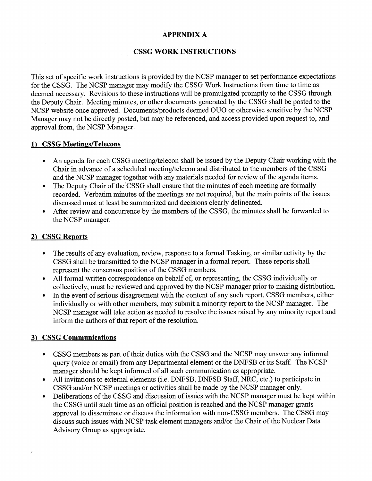## APPENDIX A

## **CSSG WORK INSTRUCTIONS**

This set of specific work instructions is provided by the NCSP manager to set performance expectations for the CSSG. The NCSP manager may modify the CSSG Work Instructions from time to time as deemed necessary. Revisions to these instructions will be promulgated promptly to the CSSG through the Deputy Chair. Meeting minutes, or other documents generated by the CSSG shall be posted to the NCSP website once approved. Documents/products deemed OUO or otherwise sensitive by the NCSP Manager may not be directly posted, but may be referenced, and access provided upon request to, and approval from, the NCSP Manager.

#### 1) CSSG Meetings/Telecons

- . An agenda for each CSSG meeting/telecon shall be issued by the Deputy Chair working with the Chair in advance of a scheduled meeting/telecon and distributed to the members of the CSSG and the NCSP manager together with any materials needed for review of the agenda items.
- The Deputy Chair of the CSSG shall ensure that the minutes of each meeting are formally recorded. Verbatim minutes of the meetings are not required, but the main points of the issues discussed must at least be summarized and decisions clearly delineated.
- After review and concurrence by the members of the CSSG, the minutes shall be forwarded to the NCSP manager.

#### 2) CSSG Reports

- . The results of any evaluation, review, response to <sup>a</sup> formal Tasking, or similar activity by the CSSG shall be transmitted to the NCSP manager in a formal report. These reports shall represent the consensus position of the CSSG members.
- . All formal written correspondence on behalf of, or representing, the CSSG individually or collectively, must be reviewed and approved by the NCSP manager prior to making distribution.
- In the event of serious disagreement with the content of any such report, CSSG members, either individually or with other members, may submit a minority report to the NCSP manager. The NCSP manager will take action as needed to resolve the issues raised by any minority report and inform the authors of that report of the resolution.

### 3) CSSG Communications

- CSSG members as part of their duties with the CSSG and the NCSP may answer any informal query (voice or email) from any Departmental element or the DNFSB or its Staff. The NCSP manager should be kept informed of all such communication as appropriate.
- . All invitations to external elements (i.e. DNFSB, DNFSB Staff, NRC, etc.) to participate in CSSG and/or NCSP meetings or activities shall be made by the NCSP manager only.
- Deliberations of the CSSG and discussion of issues with the NCSP manager must be kept within the CSSG until such time as an official position is reached and the NCSP manager grants approval to disseminate or discuss the information with non-CSSG members. The CSSG may discuss such issues with NCSP task element managers and/or the Chair of the Nuclear Data Advisory Group as appropriate.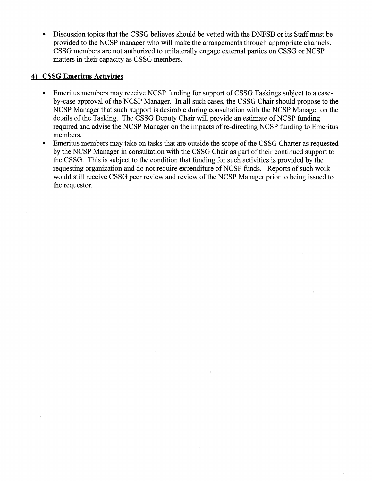Discussion topics that the CSSG believes should be vetted with the DNFSB or its Staff must be provided to the NCSP manager who will make the arrangements through appropriate channels. CSSG members are not authorized to unilaterally engage external parties on CSSG or NCSP matters in their capacity as CSSG members.

### 4) CSSG Emeritus Activities

- . Emeritus members may receive NC\$P funding for support of CSSG Taskings subject to <sup>a</sup> caseby-case approval of the NCSP Manager. In all such cases, the CSSG Chair should propose to the NCSP Manager that such support is desirable during consultation with the NCSP Manager on the details of the Tasking. The CSSG Deputy Chair will provide an estimate of NCSP funding required and advise the NCSP Manager on the impacts of re-directing NCSP funding to Emeritus members.
- Emeritus members may take on tasks that are outside the scope of the CSSG Charter as requested by the NCSP Manager in consultation with the CSSG Chair as part of their continued support to the CSSG. This is subject to the condition that funding for such activities is provided by the requesting organization and do not require expenditure of NCSP funds. Reports of such work would still receive CSSG peer review and review of the NCSP Manager prior to being issued to the requestor.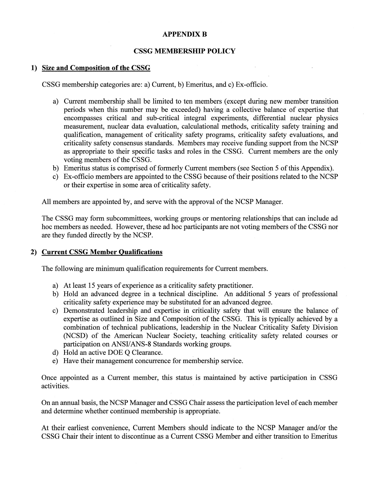#### APPENDIX B

### CSSG MEMBERSHIP POLICY

### 1) Size and Composition of the CSSG

C\$SG membership categories are: a) Current, b) Emeritus, and c) Ex-officio.

- a) Current membership shall be limited to ten members (except during new member transition periods when this number may be exceeded) having a collective balance of expertise that encompasses critical and sub-critical integral experiments, differential nuclear physics measurement, nuclear data evaluation, calculational methods, criticality safety training and qualification, management of criticality safety programs, criticality safety evaluations, and criticality safety consensus standards. Members may receive funding support from the NCSP as appropriate to their specific tasks and roles in the CSSG. Current members are the only voting members of the CSSG.
- b) Emeritus status is comprised of formerly Current members (see Section 5 of this Appendix).
- c) Ex-officio members are appointed to the CSSG because of their positions related to the NCSP or their expertise in some area of criticality safety.

All members are appointed by, and serve with the approval of the NCSP Manager.

The CSSG may form subcommittees, working groups or mentoring relationships that can include ad hoc members as needed. However, these ad hoc participants are not voting members of the CSSG nor are they funded directly by the NCSP.

#### 2) Current CSSG Member Qualifications

The following are minimum qualification requirements for Current members.

- a) At least 15 years of experience as a criticality safety practitioner.
- b) Hold an advanced degree in a technical discipline. An additional 5 years of professional criticality safety experience may be substituted for an advanced degree.
- c) Demonstrated leadership and expertise in criticality safety that will ensure the balance of expertise as outlined in Size and Composition of the CSSG. This is typically achieved by a combination of technical publications, leadership in the Nuclear Criticality Safety Division (NCSD) of the American Nuclear Society, teaching criticality safety related courses or participation on ANSI/ANS-8 Standards working groups.
- d) Hold an active DOE Q Clearance.
- e) Have their management concurrence for membership service.

Once appointed as a Current member, this status is maintained by active participation in CSSG activities.

On an annual basis, the NCSP Manager and CSSG Chair assess the participation level of each member and determine whether continued membership is appropriate.

At their earliest convenience, Current Members should indicate to the NCSP Manager and/or the CSSG Chair their intent to discontinue as a Current CSSG Member and either transition to Emeritus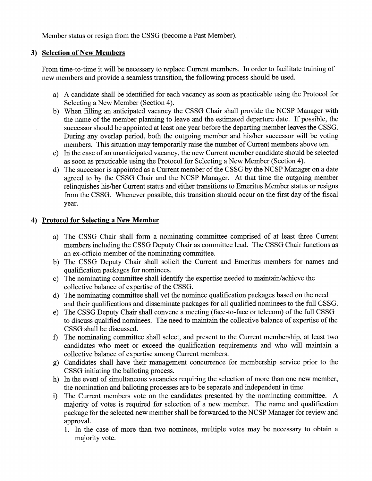Member status or resign from the CSSG (become a Past Member).

### 3) Selection of New Members

from time-to-time it will be necessary to replace Current members. In order to facilitate training of new members and provide a seamless transition, the following process should be used.

- a) A candidate shall be identified for each vacancy as soon as practicable using the Protocol for Selecting a New Member (Section 4).
- b) When filling an anticipated vacancy the CSSG Chair shall provide the NCSP Manager with the name of the member planning to leave and the estimated departure date. If possible, the successor should be appointed at least one year before the departing member leaves the CSSG. During any overlap period, both the outgoing member and his/her successor will be voting members. This situation may temporarily raise the number of Current members above ten.
- c) In the case of an unanticipated vacancy, the new Current member candidate should be selected as soon as practicable using the Protocol for Selecting a New Member (Section 4).
- d) The successor is appointed as a Current member of the CSSG by the NCSP Manager on a date agreed to by the CSSG Chair and the NCSP Manager. At that time the outgoing member relinquishes his/her Current status and either transitions to Emeritus Member status or resigns from the CSSG. Whenever possible, this transition should occur on the first day of the fiscal year.

#### 4) Protocol for Selecting a New Member

- a) The CSSG Chair shall form a nominating committee comprised of at least three Current members including the CSSG Deputy Chair as committee lead. The CSSG Chair functions as an ex-officio member of the nominating committee.
- b) The CSSG Deputy Chair shall solicit the Current and Emeritus members for names and qualification packages for nominees.
- c) The nominating committee shall identify the expertise needed to maintain/achieve the collective balance of expertise of the CSSG.
- d) The nominating committee shall vet the nominee qualification packages based on the need and their qualifications and disseminate packages for all qualified nominees to the full CSSG.
- e) The CSSG Deputy Chair shall convene a meeting (face-to-face or telecom) of the full CSSG to discuss qualified nominees. The need to maintain the collective balance of expertise of the CSSG shall be discussed.
- f) The nominating committee shall select, and present to the Current membership, at least two candidates who meet or exceed the qualification requirements and who will maintain a collective balance of expertise among Current members.
- g) Candidates shall have their management concurrence for membership service prior to the CSSG initiating the balloting process.
- h) In the event of simultaneous vacancies requiring the selection of more than one new member, the nomination and balloting processes are to be separate and independent in time.
- i) The Current members vote on the candidates presented by the nominating committee. A majority of votes is required for selection of a new member. The name and qualification package for the selected new member shall be forwarded to the NCSP Manager for review and approval.
	- <sup>1</sup> . In the case of more than two nominees, multiple votes may be necessary to obtain a majority vote.